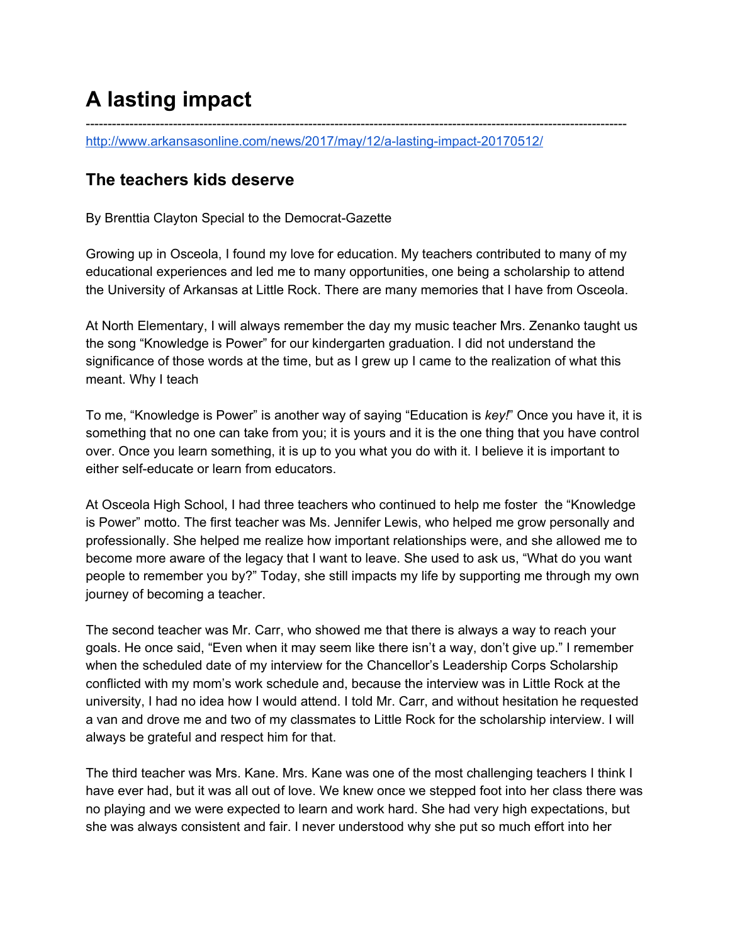## **A lasting impact**

<http://www.arkansasonline.com/news/2017/may/12/a-lasting-impact-20170512/>

## **The teachers kids deserve**

By Brenttia Clayton Special to the Democrat-Gazette

Growing up in Osceola, I found my love for education. My teachers contributed to many of my educational experiences and led me to many opportunities, one being a scholarship to attend the University of Arkansas at Little Rock. There are many memories that I have from Osceola.

----------------------------------------------------------------------------------------------------------------------------

At North Elementary, I will always remember the day my music teacher Mrs. Zenanko taught us the song "Knowledge is Power" for our kindergarten graduation. I did not understand the significance of those words at the time, but as I grew up I came to the realization of what this meant. Why I teach

To me, "Knowledge is Power" is another way of saying "Education is *key!*" Once you have it, it is something that no one can take from you; it is yours and it is the one thing that you have control over. Once you learn something, it is up to you what you do with it. I believe it is important to either self-educate or learn from educators.

At Osceola High School, I had three teachers who continued to help me foster the "Knowledge is Power" motto. The first teacher was Ms. Jennifer Lewis, who helped me grow personally and professionally. She helped me realize how important relationships were, and she allowed me to become more aware of the legacy that I want to leave. She used to ask us, "What do you want people to remember you by?" Today, she still impacts my life by supporting me through my own journey of becoming a teacher.

The second teacher was Mr. Carr, who showed me that there is always a way to reach your goals. He once said, "Even when it may seem like there isn't a way, don't give up." I remember when the scheduled date of my interview for the Chancellor's Leadership Corps Scholarship conflicted with my mom's work schedule and, because the interview was in Little Rock at the university, I had no idea how I would attend. I told Mr. Carr, and without hesitation he requested a van and drove me and two of my classmates to Little Rock for the scholarship interview. I will always be grateful and respect him for that.

The third teacher was Mrs. Kane. Mrs. Kane was one of the most challenging teachers I think I have ever had, but it was all out of love. We knew once we stepped foot into her class there was no playing and we were expected to learn and work hard. She had very high expectations, but she was always consistent and fair. I never understood why she put so much effort into her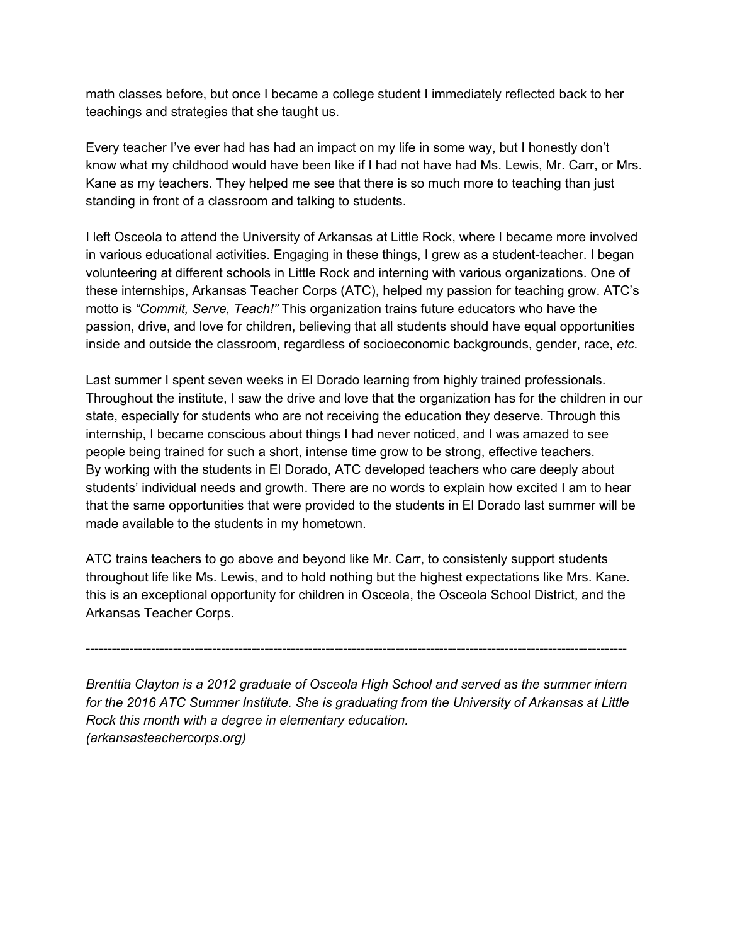math classes before, but once I became a college student I immediately reflected back to her teachings and strategies that she taught us.

Every teacher I've ever had has had an impact on my life in some way, but I honestly don't know what my childhood would have been like if I had not have had Ms. Lewis, Mr. Carr, or Mrs. Kane as my teachers. They helped me see that there is so much more to teaching than just standing in front of a classroom and talking to students.

I left Osceola to attend the University of Arkansas at Little Rock, where I became more involved in various educational activities. Engaging in these things, I grew as a student-teacher. I began volunteering at different schools in Little Rock and interning with various organizations. One of these internships, Arkansas Teacher Corps (ATC), helped my passion for teaching grow. ATC's motto is *"Commit, Serve, Teach!"* This organization trains future educators who have the passion, drive, and love for children, believing that all students should have equal opportunities inside and outside the classroom, regardless of socioeconomic backgrounds, gender, race, *etc.*

Last summer I spent seven weeks in El Dorado learning from highly trained professionals. Throughout the institute, I saw the drive and love that the organization has for the children in our state, especially for students who are not receiving the education they deserve. Through this internship, I became conscious about things I had never noticed, and I was amazed to see people being trained for such a short, intense time grow to be strong, effective teachers. By working with the students in El Dorado, ATC developed teachers who care deeply about students' individual needs and growth. There are no words to explain how excited I am to hear that the same opportunities that were provided to the students in El Dorado last summer will be made available to the students in my hometown.

ATC trains teachers to go above and beyond like Mr. Carr, to consistenly support students throughout life like Ms. Lewis, and to hold nothing but the highest expectations like Mrs. Kane. this is an exceptional opportunity for children in Osceola, the Osceola School District, and the Arkansas Teacher Corps.

----------------------------------------------------------------------------------------------------------------------------

*Brenttia Clayton is a 2012 graduate of Osceola High School and served as the summer intern for the 2016 ATC Summer Institute. She is graduating from the University of Arkansas at Little Rock this month with a degree in elementary education. (arkansasteachercorps.org)*